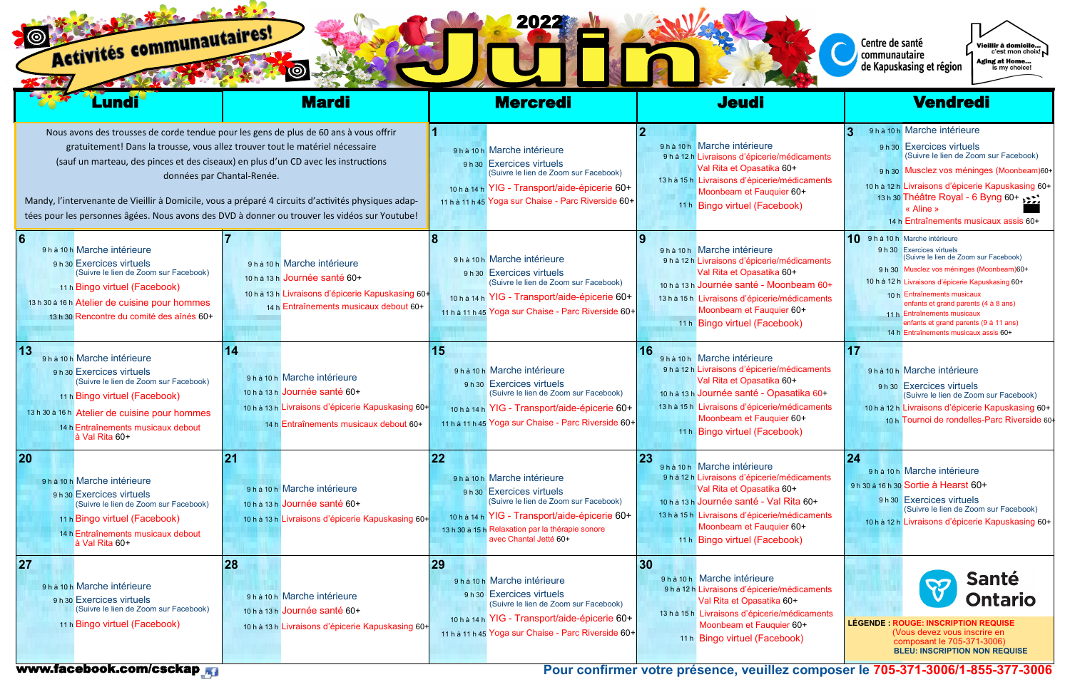| 光 米米 地名<br>Activités communautaires!<br>$\bullet$                                                                                                                                                                                               |                                                                                                                                                                                                                                                                                                                                                                                                           |                                                                                                                                                                                                                                         |                                                                                                                                                                                                                                                                         | Centre de santé<br><b>Vieillir à domicile</b><br>C'est mon choix!<br>communautaire<br><b>Aging at Home</b><br>de Kapuskasing et région<br>is my choice!                                                                                                                                                                                                                                         |
|-------------------------------------------------------------------------------------------------------------------------------------------------------------------------------------------------------------------------------------------------|-----------------------------------------------------------------------------------------------------------------------------------------------------------------------------------------------------------------------------------------------------------------------------------------------------------------------------------------------------------------------------------------------------------|-----------------------------------------------------------------------------------------------------------------------------------------------------------------------------------------------------------------------------------------|-------------------------------------------------------------------------------------------------------------------------------------------------------------------------------------------------------------------------------------------------------------------------|-------------------------------------------------------------------------------------------------------------------------------------------------------------------------------------------------------------------------------------------------------------------------------------------------------------------------------------------------------------------------------------------------|
| Lundi                                                                                                                                                                                                                                           | <b>Mardi</b>                                                                                                                                                                                                                                                                                                                                                                                              | <b>Mercredi</b>                                                                                                                                                                                                                         | <b>Jeudi</b>                                                                                                                                                                                                                                                            | <b>Vendredi</b>                                                                                                                                                                                                                                                                                                                                                                                 |
| Nous avons des trousses de corde tendue pour les gens de plus de 60 ans à vous offrir                                                                                                                                                           | gratuitement! Dans la trousse, vous allez trouver tout le matériel nécessaire<br>(sauf un marteau, des pinces et des ciseaux) en plus d'un CD avec les instructions<br>données par Chantal-Renée.<br>Mandy, l'intervenante de Vieillir à Domicile, vous a préparé 4 circuits d'activités physiques adap-<br>tées pour les personnes âgées. Nous avons des DVD à donner ou trouver les vidéos sur Youtube! | 9hà 10h Marche intérieure<br>9 h 30 Exercices virtuels<br>(Suivre le lien de Zoom sur Facebook)<br>10 h à 14 h YIG - Transport/aide-épicerie 60+<br>11 h à 11 h 45 Yoga sur Chaise - Parc Riverside 60+                                 | 9 h à 10 h Marche intérieure<br>9 h à 12 h Livraisons d'épicerie/médicaments<br>Val Rita et Opasatika 60+<br>13 h à 15 h Livraisons d'épicerie/médicaments<br>Moonbeam et Fauquier 60+<br>11h Bingo virtuel (Facebook)                                                  | 9 h à 10 h Marche intérieure<br>9 h 30 Exercices virtuels<br>(Suivre le lien de Zoom sur Facebook)<br>9 h 30 Musclez vos méninges (Moonbeam)60+<br>10 h à 12 h Livraisons d'épicerie Kapuskasing 60+<br>13 h 30 Théâtre Royal - 6 Byng 60+ 12"<br>« Aline »<br>14 h Entraînements musicaux assis 60+                                                                                            |
| 9 h à 10 h Marche intérieure<br>9 h 30 Exercices virtuels<br>(Suivre le lien de Zoom sur Facebook)<br>11 h Bingo virtuel (Facebook)<br>13 h 30 à 16 h Atelier de cuisine pour hommes<br>13 h 30 Rencontre du comité des aînés 60+               | 9 h à 10 h Marche intérieure<br>10 h à 13 h Journée santé 60+<br>10 h à 13 h Livraisons d'épicerie Kapuskasing 60+<br>14 h Entraînements musicaux debout 60+                                                                                                                                                                                                                                              | 9 h à 10 h Marche intérieure<br>9h30 Exercices virtuels<br>(Suivre le lien de Zoom sur Facebook)<br>10 h à 14 h YIG - Transport/aide-épicerie 60+<br>11 h à 11 h 45 Yoga sur Chaise - Parc Riverside 60+                                | 9 h à 10 h Marche intérieure<br>9 h à 12 h Livraisons d'épicerie/médicaments<br>Val Rita et Opasatika 60+<br>10 h à 13 h Journée santé - Moonbeam 60+<br>13 h à 15 h Livraisons d'épicerie/médicaments<br>Moonbeam et Fauquier 60+<br>11h Bingo virtuel (Facebook)      | 10 9 h à 10 h Marche intérieure<br>9 h 30 Exercices virtuels<br>(Suivre le lien de Zoom sur Facebook)<br>9 h 30 Musclez vos méninges (Moonbeam)60+<br>10 h à 12 h Livraisons d'épicerie Kapuskasing 60+<br>10 h Entraînements musicaux<br>enfants et grand parents (4 à 8 ans)<br>11 h Entraînements musicaux<br>enfants et grand parents (9 à 11 ans)<br>14 h Entraînements musicaux assis 60+ |
| 13<br>9hà 10h Marche intérieure<br>9 h 30 Exercices virtuels<br>(Suivre le lien de Zoom sur Facebook)<br>11 h Bingo virtuel (Facebook)<br>13 h 30 à 16 h Atelier de cuisine pour hommes<br>14 h Entraînements musicaux debout<br>à Val Rita 60+ | 14<br>9hà 10h Marche intérieure<br>10 h à 13 h Journée santé 60+<br>10 h à 13 h Livraisons d'épicerie Kapuskasing 60+<br>14 h Entraînements musicaux debout 60+                                                                                                                                                                                                                                           | 15<br>9hà 10h Marche intérieure<br>9 h 30 Exercices virtuels<br>(Suivre le lien de Zoom sur Facebook)<br>10 h à 14 h YIG - Transport/aide-épicerie 60+<br>11 h à 11 h 45 Yoga sur Chaise - Parc Riverside 60+                           | 16<br>9hà 10h Marche intérieure<br>9 h à 12 h Livraisons d'épicerie/médicaments<br>Val Rita et Opasatika 60+<br>10 h à 13 h Journée santé - Opasatika 60+<br>13 h à 15 h Livraisons d'épicerie/médicaments<br>Moonbeam et Fauquier 60+<br>11h Bingo virtuel (Facebook)  | 17<br>9hà 10h Marche intérieure<br>9 h 30 Exercices virtuels<br>(Suivre le lien de Zoom sur Facebook)<br>10 h à 12 h Livraisons d'épicerie Kapuskasing 60+<br>10 h Tournoi de rondelles-Parc Riverside 60-                                                                                                                                                                                      |
| <b>20</b><br>9 h à 10 h Marche intérieure<br>9h 30 Exercices virtuels<br>(Suivre le lien de Zoom sur Facebook)<br>11 h Bingo virtuel (Facebook)<br>14 h Entraînements musicaux debout<br>à Val Rita 60+                                         | 21<br>9hà 10h Marche intérieure<br>10 h à 13 h Journée santé 60+<br>10 h à 13 h Livraisons d'épicerie Kapuskasing 60+                                                                                                                                                                                                                                                                                     | 22<br>9 h à 10 h Marche intérieure<br>9 h 30 Exercices virtuels<br>(Suivre le lien de Zoom sur Facebook)<br>10 h à 14 h YIG - Transport/aide-épicerie 60+<br>13 h 30 à 15 h Relaxation par la thérapie sonore<br>avec Chantal Jetté 60+ | 23<br>9 h à 10 h Marche intérieure<br>9h à 12 h Livraisons d'épicerie/médicaments<br>Val Rita et Opasatika 60+<br>10 h à 13 h Journée santé - Val Rita 60+<br>13 h à 15 h Livraisons d'épicerie/médicaments<br>Moonbeam et Fauquier 60+<br>11h Bingo virtuel (Facebook) | 24<br>9 h à 10 h Marche intérieure<br>9 h 30 à 16 h 30 Sortie à Hearst 60+<br>9 h 30 Exercices virtuels<br>(Suivre le lien de Zoom sur Facebook)<br>10 h à 12 h Livraisons d'épicerie Kapuskasing 60+                                                                                                                                                                                           |
| 27<br>9hà 10h Marche intérieure<br>9 h 30 Exercices virtuels<br>(Suivre le lien de Zoom sur Facebook)<br>11 h Bingo virtuel (Facebook)<br>www.facebook.com/csckap                                                                               | 28<br>9 h à 10 h Marche intérieure<br>10 h à 13 h Journée santé 60+<br>10 h à 13 h Livraisons d'épicerie Kapuskasing 60+                                                                                                                                                                                                                                                                                  | 29<br>9hà 10h Marche intérieure<br>9 h 30 Exercices virtuels<br>(Suivre le lien de Zoom sur Facebook)<br>10 h à 14 h YIG - Transport/aide-épicerie 60+<br>11 h à 11 h 45 Yoga sur Chaise - Parc Riverside 60+                           | 30<br>9 h à 10 h Marche intérieure<br>9h à 12 h Livraisons d'épicerie/médicaments<br>Val Rita et Opasatika 60+<br>13 h à 15 h Livraisons d'épicerie/médicaments<br>Moonbeam et Fauquier 60+<br>11h Bingo virtuel (Facebook)                                             | <b>Santé</b><br>$\boldsymbol{\mathcal{G}}$<br><b>Ontario</b><br><b>LÉGENDE : ROUGE: INSCRIPTION REQUISE</b><br>(Vous devez vous inscrire en<br>composant le 705-371-3006)<br><b>BLEU: INSCRIPTION NON REQUISE</b><br>Pour confirmer votre présence, veuillez composer le 705-371-3006/1-855-377-3006                                                                                            |